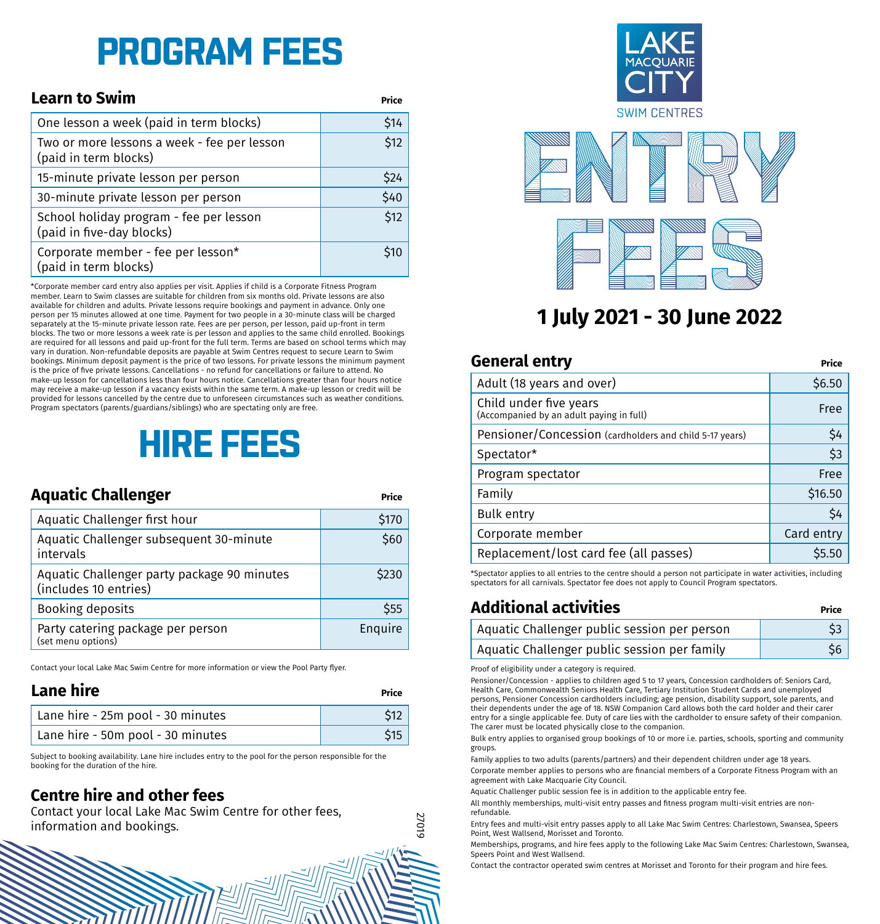# **PROGRAM FEES**

| <b>Learn to Swim</b>                                                 | Price |
|----------------------------------------------------------------------|-------|
| One lesson a week (paid in term blocks)                              | \$14  |
| Two or more lessons a week - fee per lesson<br>(paid in term blocks) | \$12  |
| 15-minute private lesson per person                                  | \$24  |
| 30-minute private lesson per person                                  | \$40  |
| School holiday program - fee per lesson<br>(paid in five-day blocks) | \$12  |
| Corporate member - fee per lesson*<br>(paid in term blocks)          | \$10  |

\*Corporate member card entry also applies per visit. Applies if child is a Corporate Fitness Program member. Learn to Swim classes are suitable for children from six months old. Private lessons are also available for children and adults. Private lessons require bookings and payment in advance. Only one person per 15 minutes allowed at one time. Payment for two people in a 30-minute class will be charged separately at the 15-minute private lesson rate. Fees are per person, per lesson, paid up-front in term blocks. The two or more lessons a week rate is per lesson and applies to the same child enrolled. Bookings are required for all lessons and paid up-front for the full term. Terms are based on school terms which may vary in duration. Non-refundable deposits are payable at Swim Centres request to secure Learn to Swim bookings. Minimum deposit payment is the price of two lessons. For private lessons the minimum payment is the price of five private lessons. Cancellations - no refund for cancellations or failure to attend. No make-up lesson for cancellations less than four hours notice. Cancellations greater than four hours notice may receive a make-up lesson if a vacancy exists within the same term. A make-up lesson or credit will be provided for lessons cancelled by the centre due to unforeseen circumstances such as weather conditions. Program spectators (parents/guardians/siblings) who are spectating only are free.

# **HIRE FEES**

| Aquatic Challenger                                                   | Price   |
|----------------------------------------------------------------------|---------|
| Aquatic Challenger first hour                                        | \$170   |
| Aquatic Challenger subsequent 30-minute<br>intervals                 | \$60    |
| Aquatic Challenger party package 90 minutes<br>(includes 10 entries) | \$230   |
| Booking deposits                                                     | \$55    |
| Party catering package per person<br>(set menu options)              | Enquire |

Contact your local Lake Mac Swim Centre for more information or view the Pool Party flyer.

#### **Lane hire Price**

| Lane hire - 25m pool - 30 minutes | \$12 |
|-----------------------------------|------|
| Lane hire - 50m pool - 30 minutes |      |

Subject to booking availability. Lane hire includes entry to the pool for the person responsible for the booking for the duration of the hire.

#### **Centre hire and other fees**

Contact your local Lake Mac Swim Centre for other fees, information and bookings.



## **1 July 2021 - 30 June 2022**

### **General entry Price** Adult (18 years and over) \$6.50 Child under five years Critical diffusion of the vector<br>(Accompanied by an adult paying in full) Free Pensioner/Concession (cardholders and child 5-17 years) | S4 Spectator\* \$3 Program spectator **Free** Family \$16.50 Bulk entry S4 Corporate member **Corporation** Card entry Replacement/lost card fee (all passes)  $\vert$  \$5.50

\*Spectator applies to all entries to the centre should a person not participate in water activities, including spectators for all carnivals. Spectator fee does not apply to Council Program spectators.

### **Additional activities Price**

| Aquatic Challenger public session per person |     |
|----------------------------------------------|-----|
| Aquatic Challenger public session per family | S6. |

Proof of eligibility under a category is required.

27019

Pensioner/Concession - applies to children aged 5 to 17 years, Concession cardholders of: Seniors Card, Health Care, Commonwealth Seniors Health Care, Tertiary Institution Student Cards and unemployed persons, Pensioner Concession cardholders including; age pension, disability support, sole parents, and their dependents under the age of 18. NSW Companion Card allows both the card holder and their carer entry for a single applicable fee. Duty of care lies with the cardholder to ensure safety of their companion. The carer must be located physically close to the companion.

Bulk entry applies to organised group bookings of 10 or more i.e. parties, schools, sporting and community groups.

Family applies to two adults (parents/partners) and their dependent children under age 18 years.

Corporate member applies to persons who are financial members of a Corporate Fitness Program with an agreement with Lake Macquarie City Council.

Aquatic Challenger public session fee is in addition to the applicable entry fee.

All monthly memberships, multi-visit entry passes and fitness program multi-visit entries are nonrefundable.

Entry fees and multi-visit entry passes apply to all Lake Mac Swim Centres: Charlestown, Swansea, Speers Point, West Wallsend, Morisset and Toronto.

Memberships, programs, and hire fees apply to the following Lake Mac Swim Centres: Charlestown, Swansea, Speers Point and West Wallsend.

Contact the contractor operated swim centres at Morisset and Toronto for their program and hire fees.